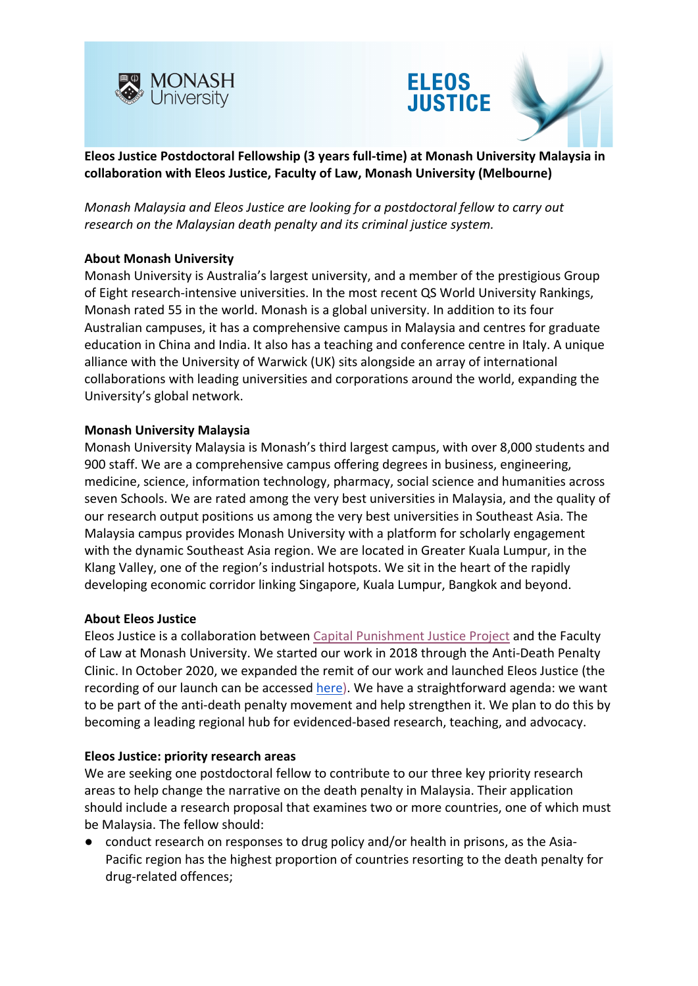





**Eleos Justice Postdoctoral Fellowship (3 years full-time) at Monash University Malaysia in collaboration with Eleos Justice, Faculty of Law, Monash University (Melbourne)**

*Monash Malaysia and Eleos Justice are looking for a postdoctoral fellow to carry out research on the Malaysian death penalty and its criminal justice system.*

### **About Monash University**

Monash University is Australia's largest university, and a member of the prestigious Group of Eight research-intensive universities. In the most recent QS World University Rankings, Monash rated 55 in the world. Monash is a global university. In addition to its four Australian campuses, it has a comprehensive campus in Malaysia and centres for graduate education in China and India. It also has a teaching and conference centre in Italy. A unique alliance with the University of Warwick (UK) sits alongside an array of international collaborations with leading universities and corporations around the world, expanding the University's global network.

### **Monash University Malaysia**

Monash University Malaysia is Monash's third largest campus, with over 8,000 students and 900 staff. We are a comprehensive campus offering degrees in business, engineering, medicine, science, information technology, pharmacy, social science and humanities across seven Schools. We are rated among the very best universities in Malaysia, and the quality of our research output positions us among the very best universities in Southeast Asia. The Malaysia campus provides Monash University with a platform for scholarly engagement with the dynamic Southeast Asia region. We are located in Greater Kuala Lumpur, in the Klang Valley, one of the region's industrial hotspots. We sit in the heart of the rapidly developing economic corridor linking Singapore, Kuala Lumpur, Bangkok and beyond.

#### **About Eleos Justice**

Eleos Justice is a collaboration between [Capital Punishment Justice Project](https://cpjp.org.au/) and the Faculty of Law at Monash University. We started our work in 2018 through the Anti-Death Penalty Clinic. In October 2020, we expanded the remit of our work and launched Eleos Justice (the recording of our launch can be accessed [here\)](https://www.monash.edu/law/research/eleos/events). We have a straightforward agenda: we want to be part of the anti-death penalty movement and help strengthen it. We plan to do this by becoming a leading regional hub for evidenced-based research, teaching, and advocacy.

#### **Eleos Justice: priority research areas**

We are seeking one postdoctoral fellow to contribute to our three key priority research areas to help change the narrative on the death penalty in Malaysia. Their application should include a research proposal that examines two or more countries, one of which must be Malaysia. The fellow should:

● conduct research on responses to drug policy and/or health in prisons, as the Asia-Pacific region has the highest proportion of countries resorting to the death penalty for drug-related offences;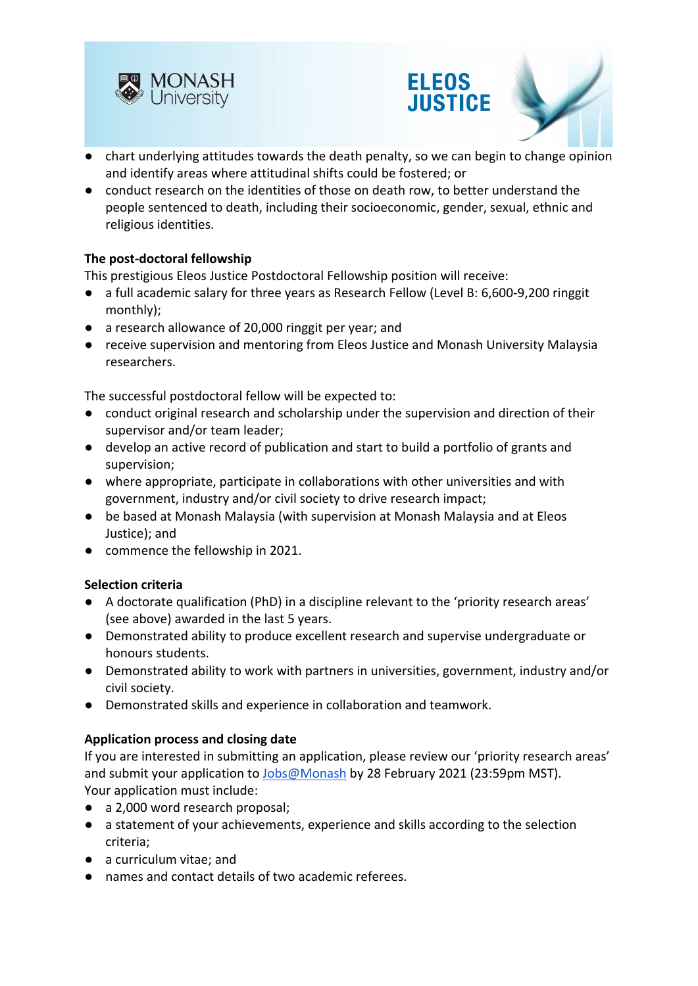





- chart underlying attitudes towards the death penalty, so we can begin to change opinion and identify areas where attitudinal shifts could be fostered; or
- conduct research on the identities of those on death row, to better understand the people sentenced to death, including their socioeconomic, gender, sexual, ethnic and religious identities.

## **The post-doctoral fellowship**

This prestigious Eleos Justice Postdoctoral Fellowship position will receive:

- a full academic salary for three years as Research Fellow (Level B: 6,600-9,200 ringgit monthly);
- a research allowance of 20,000 ringgit per year; and
- receive supervision and mentoring from Eleos Justice and Monash University Malaysia researchers.

The successful postdoctoral fellow will be expected to:

- conduct original research and scholarship under the supervision and direction of their supervisor and/or team leader;
- develop an active record of publication and start to build a portfolio of grants and supervision;
- where appropriate, participate in collaborations with other universities and with government, industry and/or civil society to drive research impact;
- be based at Monash Malaysia (with supervision at Monash Malaysia and at Eleos Justice); and
- commence the fellowship in 2021.

## **Selection criteria**

- A doctorate qualification (PhD) in a discipline relevant to the 'priority research areas' (see above) awarded in the last 5 years.
- Demonstrated ability to produce excellent research and supervise undergraduate or honours students.
- Demonstrated ability to work with partners in universities, government, industry and/or civil society.
- Demonstrated skills and experience in collaboration and teamwork.

## **Application process and closing date**

If you are interested in submitting an application, please review our 'priority research areas' and submit your application to [Jobs@Monash](https://monashmalaysia.loop.jobs/jobs) by 28 February 2021 (23:59pm MST). Your application must include:

- a 2,000 word research proposal;
- a statement of your achievements, experience and skills according to the selection criteria;
- a curriculum vitae; and
- names and contact details of two academic referees.